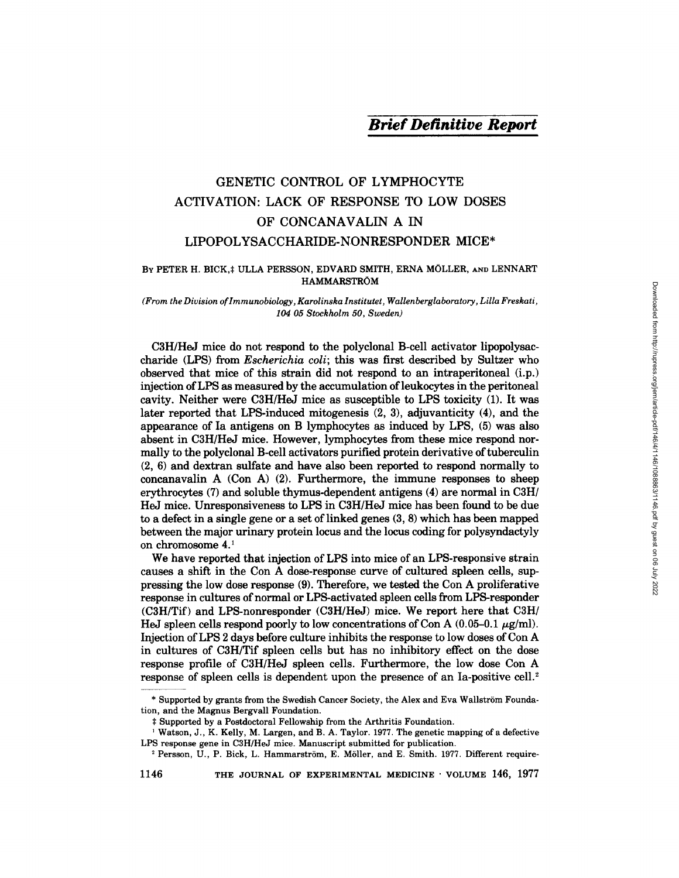# *Brief Definitive Report*

# GENETIC CONTROL OF LYMPHOCYTE ACTIVATION: LACK OF RESPONSE TO LOW DOSES OF CONCANAVALIN A IN LIPOPOLYSACCHARIDE-NONRESPONDER MICE\*

# BY PETER H. BICK, ‡ ULLA PERSSON, EDVARD SMITH, ERNA MÖLLER, AND LENNART HAMMARSTRÖM

*(From the Division of lmmunobiology , Karolinska Instituter, Wallenberglaboratory , Lilla Freskati, 104 05 Stockholm 50, Sweden)* 

C3H/HeJ mice do not respond to the polyclonal B-cell activator lipopolysaccharide (LPS) from *Escherichia coli;* this was first described by Sultzer who observed that mice of this strain did not respond to an intraperitoneal (i.p.) injection of LPS as measured by the accumulation of leukocytes in the peritoneal cavity. Neither were C3H/HeJ mice as susceptible to LPS toxicity (1). It was later reported that LPS-induced mitogenesis (2, 3), adjuvanticity (4), and the appearance of Ia antigens on B lymphocytes as induced by LPS, (5) was also absent in C3H/HeJ mice. However, lymphocytes from these mice respond normally to the polyclonal B-cell activators purified protein derivative of tuberculin (2, 6) and dextran sulfate and have also been reported to respond normally to concanavalin A  $(Con A)$   $(2)$ . Furthermore, the immune responses to sheep erythrocytes (7) and soluble thymus-dependent antigens (4) are normal in C3H/ HeJ mice. Unresponsiveness to LPS in C3H/HeJ mice has been found to be due to a defect in a single gene or a set of linked genes (3, 8) which has been mapped between the major urinary protein locus and the locus coding for polysyndactyly on chromosome 4.1

We have reported that injection of LPS into mice of an LPS-responsive strain causes a shift in the Con A dose-response curve of cultured spleen cells, suppressing the low dose response (9). Therefore, we tested the Con A proliferative response in cultures of normal or LPS-activated spleen cells from LPS-responder (C3H/Tif) and LPS-nonresponder (C3H/HeJ) mice. We report here that C3H/ HeJ spleen cells respond poorly to low concentrations of Con A  $(0.05-0.1 \ \mu\text{g/ml})$ . Injection of LPS 2 days before culture inhibits the response to low doses of Con A in cultures of C3H/Tif spleen cells but has no inhibitory effect on the dose response profile of C3H/HeJ spleen cells. Furthermore, the low dose Con A response of spleen cells is dependent upon the presence of an Ia-positive cell. 2

1146 THE JOURNAL OF EXPERIMENTAL MEDICINE • VOLUME 146, 1977

<sup>\*</sup> Supported by grants from the Swedish Cancer Society, the Alex and Eva Wallström Foundation, and the Magnus Bergvall Foundation.

Supported by a Postdoctoral Fellowship from the Arthritis Foundation.

Watson, J., K. Kelly, M. Largen, and B. A. Taylor. 1977. The genetic mapping of a defective LPS response gene in C3H/HeJ mice. Manuscript submitted for publication.

<sup>&</sup>lt;sup>2</sup> Persson, U., P. Bick, L. Hammarström, E. Möller, and E. Smith. 1977. Different require-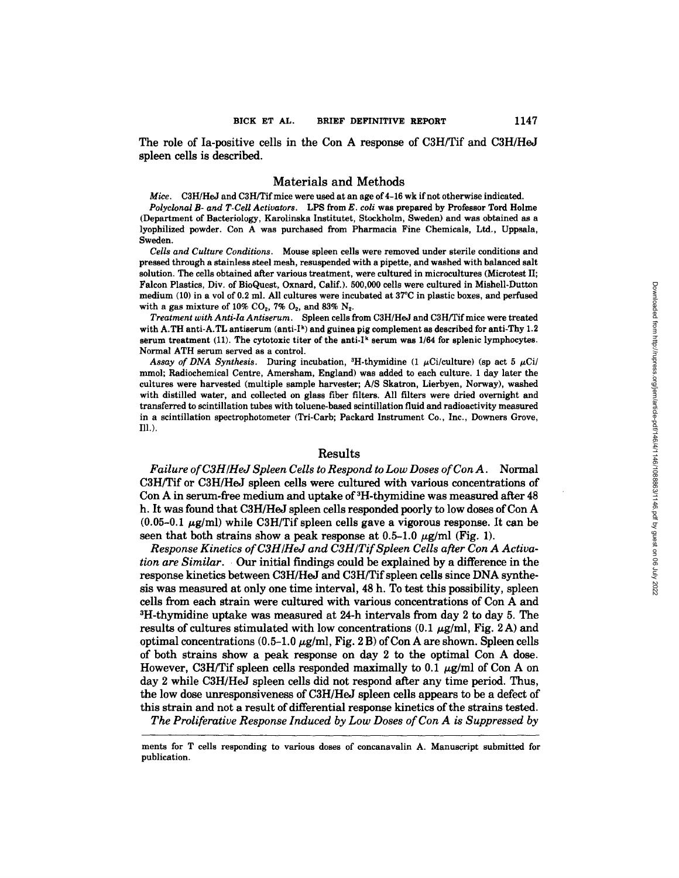The role of Ia-positive cells in the Con A response of C3H/Tif and C3H/HeJ spleen cells is described.

## Materials and Methods

*Mice.* C3H/HeJ and C3H/Tifmice were used at an age of 4-16 wk if not otherwise indicated.

*Polyclonal B- and T-CeU Activators.* LPS from *E. coli* was prepared by Professor Tord Holme (Department of Bacteriology, Karolinska Institutet, Stockholm, Sweden) and was obtained as a lyophilized powder. Con A was purchased from Pharmacia Fine Chemicals, Ltd., Uppsala, Sweden.

*Cells and Culture Conditions.* Mouse spleen cells were removed under sterile conditions and pressed through a stainless steel mesh, resusponded with a pipette, and washed with balanced salt solution. The cells obtained after various treatment, were cultured in microcultures (Microtest II; Falcon Plastics, Div. of BioQuest, Oxnard, Calif.). 500,000 cells were cultured in Mishell-Dutten medium (10) in a vol of 0.2 ml. All cultures were incubated at 37°C in plastic boxes, and perfnsed with a gas mixture of 10%  $CO_2$ , 7%  $O_2$ , and 83%  $N_2$ .

*Treatment with Anti-Ia Antiserum.* Spleen cells from C3H/HeJ and C3H/Tif mice were treated with A.TH anti-A.TL antiserum (anti-I<sup>k</sup>) and guinea pig complement as described for anti-Thy 1.2 serum treatment  $(11)$ . The cytotoxic titer of the anti-I<sup>k</sup> serum was  $1/64$  for splenic lymphocytes. Normal ATH serum served as a control.

Assay of DNA Synthesis. During incubation, <sup>3</sup>H-thymidine (1  $\mu$ Ci/culture) (sp act 5  $\mu$ Ci/ mmol; Radiochemical Centre, Amersham, England) was added to each culture. 1 day later the cultures were harvested (multiple sample harvester; A/S Skatron, Lierbyen, Norway), washed with distilled water, and collected on glass fiber filters. All filters were dried overnight and transferred to scintillation tubes with toluene-based scintillation fluid and radioactivity measured in a scintillation spectrophotometer (Tri-Carb; Packard Instrument Co., Inc., Downers Grove, Ill.).

### Results

*Failure of C3H/HeJ Spleen Cells to Respond to Low Doses of Con A.* Normal C3H/Tif or C3H/HeJ spleen cells were cultured with various concentrations of Con A in serum-free medium and uptake of 3H-thymidine was measured after 48 h. It was found that C3H/HeJ spleen cells responded poorly to low doses of Con A  $(0.05-0.1 \mu g/ml)$  while C3H/Tif spleen cells gave a vigorous response. It can be seen that both strains show a peak response at  $0.5-1.0~\mu$ g/ml (Fig. 1).

*Response Kinetics of C3H/HeJ and C3H/Tif Spleen Cells after Con A Activation are Similar. Our* initial findings could be explained by a difference in the response kinetics between C3H/HeJ and C3H/Tifspleen cells since DNA synthesis was measured at only one time interval, 48 h. To test this possibility, spleen cells from each strain were cultured with various concentrations of Con A and 3H-thymidine uptake was measured at 24-h intervals from day 2 to day 5. The results of cultures stimulated with low concentrations (0.1  $\mu$ g/ml, Fig. 2A) and optimal concentrations  $(0.5-1.0 \mu g/m)$ , Fig. 2 B) of Con A are shown. Spleen cells of beth strains show a peak response on day 2 to the optimal Con A dose. However, C3H/Tif spleen cells responded maximally to 0.1  $\mu$ g/ml of Con A on day 2 while C3H/HeJ spleen cells did not respond after any time period. Thus, the low dose unresponsiveness of C3H/HeJ spleen cells appears to be a defect of this strain and not a result of differential response kinetics of the strains tested.

*The Proliferative Response Induced by Low Doses of Con A is Suppressed by* 

merits for T cells responding to various doses of concanavalin A. Manuscript submitted for publication.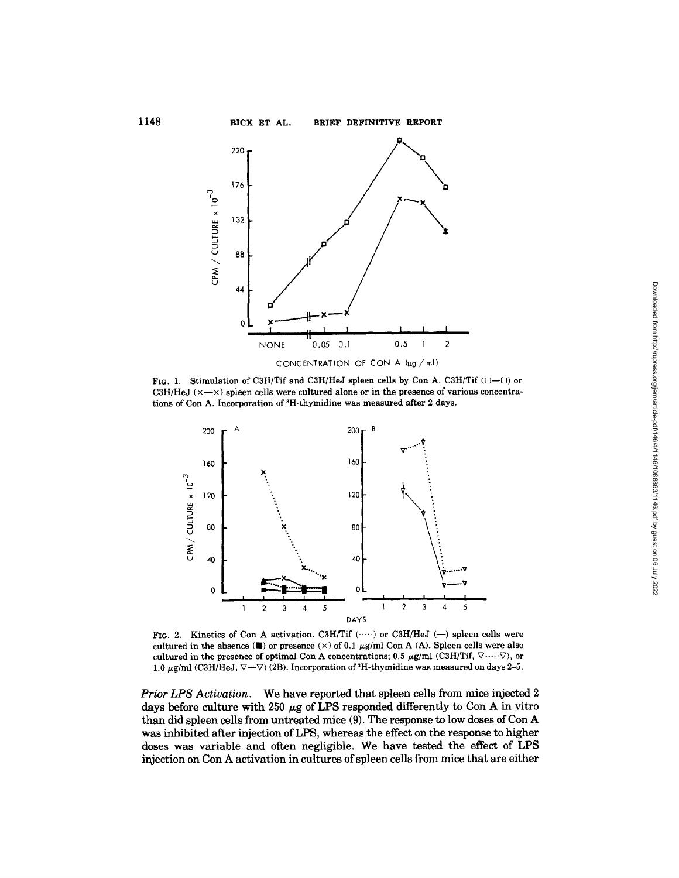**1148 BICK ET AL. BRIEF DEFINITIVE REPORT** 



FIG. 1. Stimulation of C3H/Tif and C3H/HeJ spleen cells by Con A. C3H/Tif  $(\Box - \Box)$  or C3H/HeJ  $(x \rightarrow x)$  spleen cells were cultured alone or in the presence of various concentrations of Con A. Incorporation of <sup>3</sup>H-thymidine was measured after 2 days.



FIG. 2. Kinetics of Con A activation. C3H/Tif  $($ ..... ) or C3H/HeJ (--) spleen cells were cultured in the absence  $(\blacksquare)$  or presence  $(\times)$  of 0.1  $\mu$ g/ml Con A (A). Spleen cells were also cultured in the presence of optimal Con A concentrations; 0.5  $\mu$ g/ml (C3H/Tif,  $\nabla$  ....  $\nabla$ ), or 1.0  $\mu$ g/ml (C3H/HeJ,  $\nabla$ - $\nabla$ ) (2B). Incorporation of <sup>3</sup>H-thymidine was measured on days 2-5.

*Prior LPS Activation*. We have reported that spleen cells from mice injected 2 days before culture with 250  $\mu$ g of LPS responded differently to Con A in vitro than did spleen cells from untreated mice (9). The response to low doses of Con A was inhibited after injection of LPS, whereas the effect on the response to higher doses was variable and often negligible. We have tested the effect of LPS injection on Con A activation in cultures of spleen cells from mice that are either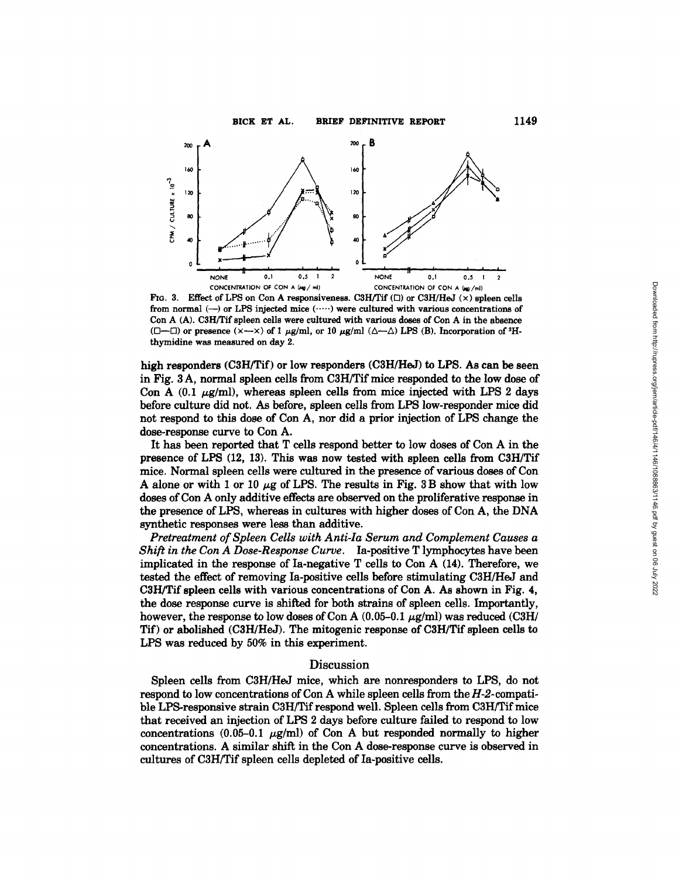

FIG. 3. Effect of LPS on Con A responsiveness. C3H/Tif  $(\Box)$  or C3H/HeJ  $(\times)$  spleen cells from normal  $(-)$  or LPS injected mice  $(\cdots)$  were cultured with various concentrations of Con A (A). C3H/Tif spleen cells were cultured with various doses of Con A in the absence ( $\Box$ — $\Box$ ) or presence ( $\times$ — $\times$ ) of 1  $\mu$ g/ml, or 10  $\mu$ g/ml ( $\triangle$ — $\triangle$ ) LPS (B). Incorporation of <sup>3</sup>Hthymidine was measured on day 2.

high responders (C3H/Tif) or low responders (C3H/HeJ) to LPS. As can be seen in Fig. 3 A, normal spleen cells from C3H/Tif mice responded to the low dose of Con A  $(0.1 \mu g/ml)$ , whereas spleen cells from mice injected with LPS 2 days before culture did not. As before, spleen cells from LPS low-responder mice did not respond to this dose of Con A, nor did a prior injection of LPS change the dose-response curve to Con A.

It has been reported that T cells respond better to low doses of Con A in the presence of LPS (12, 13). This was now tested with spleen cells from C3H/Tif mice. Normal spleen cells were cultured in the presence of various doses of Con A alone or with 1 or 10  $\mu$ g of LPS. The results in Fig. 3 B show that with low doses of Con A only additive effects are observed on the proliferative response in the presence of LPS, whereas in cultures with higher doses of Con A, the DNA synthetic responses were less than additive.

*Pretreatment of Spleen Cells with Anti-Ia Serum and Complement Causes a Shift in the Con A Dose-Response Curve.* Ia-positive T lymphocytes have been implicated in the response of Ia-negative T cells to Con A (14). Therefore, we tested the effect of removing Ia-positive cells before stimulating C3H/HeJ and C3H/Tif spleen cells with various concentrations of Con A. As shown in Fig. 4, the dose response curve is shifted for both strains of spleen cells. Importantly, however, the response to low doses of Con A  $(0.05-0.1~\mu g/ml)$  was reduced (C3H/ Tif) or abolished (C3H/HeJ). The mitogenic response of C3H/Tif spleen cells to LPS was reduced by 50% in this experiment.

# Discussion

Spleen cells from C3H/HeJ mice, which are nonresponders to LPS, do not respond to low concentrations of Con A while spleen cells from the H-2-compatible LPS-responsive strain C3H/Tif respond well. Spleen cells from C3H/Tif mice that received an injection of LPS 2 days before culture failed to respond to low concentrations (0.05-0.1  $\mu$ g/ml) of Con A but responded normally to higher concentrations. A similar shift in the Con A dose-response curve is observed in cultures of C3H/Tif spleen cells depleted of la-positive cells.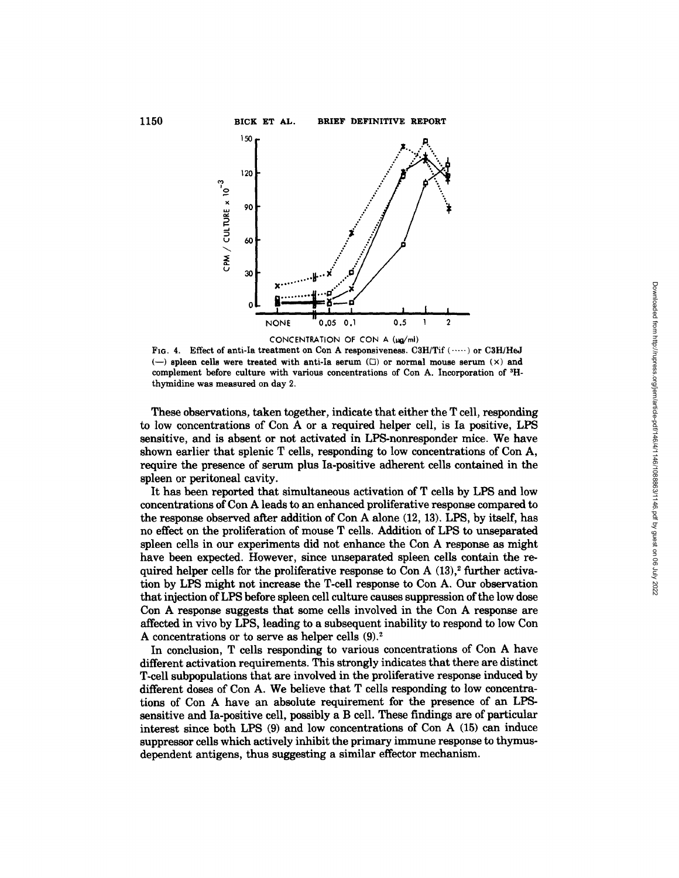

FIG. 4. Effect of anti-la treatment on Con A **responsiveness.** C3H/Tif ( ..... ) or C3H/HeJ  $(-)$  spleen cells were treated with anti-Ia serum  $(\square)$  or normal mouse serum  $(\times)$  and complement before culture with various concentrations of Con A. Incorporation of <sup>3</sup>Hthymidine was measured on day 2.

These observations, taken together, indicate that either the T cell, responding to low concentrations of Con A or a required helper cell, is Ia positive, LPS sensitive, and is absent or not activated in LPS-nonresponder mice. We have shown earlier that splenic T cells, responding to low concentrations of Con A, require the presence of serum plus Ia-positive adherent cells contained in the spleen or peritoneal cavity.

It has been reported that simultaneous activation of T cells by LPS and low concentrations of Con A leads to an enhanced proliferative response compared to the response observed after addition of Con A alone (12, 13). LPS, by itself, has no effect on the proliferation of mouse T cells. Addition of LPS to unseparated spleen cells in our experiments did not enhance the Con A response as might have been expected. However, since unseparated spleen cells contain the required helper cells for the proliferative response to Con A  $(13),<sup>2</sup>$  further activation by LPS might not increase the T-cell response to Con A. Our observation that injection of LPS before spleen cell culture causes suppression of the low dose Con A response suggests that some cells involved in the Con A response are affected in vivo by LPS, leading to a subsequent inability to respond to low Con A concentrations or to serve as helper cells  $(9)^2$ .

In conclusion, T cells responding to various concentrations of Con A have different activation requirements. This strongly indicates that there are distinct T-cell subpopulations that are involved in the proliferative response induced by different doses of Con A. We believe that T cells responding to low concentrations of Con A have an absolute requirement for the presence of an LPSsensitive and Ia-positive cell, possibly a B cell. These findings are of particular interest since both LPS (9) and low concentrations of Con A (15) can induce suppressor cells which actively inhibit the primary immune response to thymusdependent antigens, thus suggesting a similar effector mechanism.